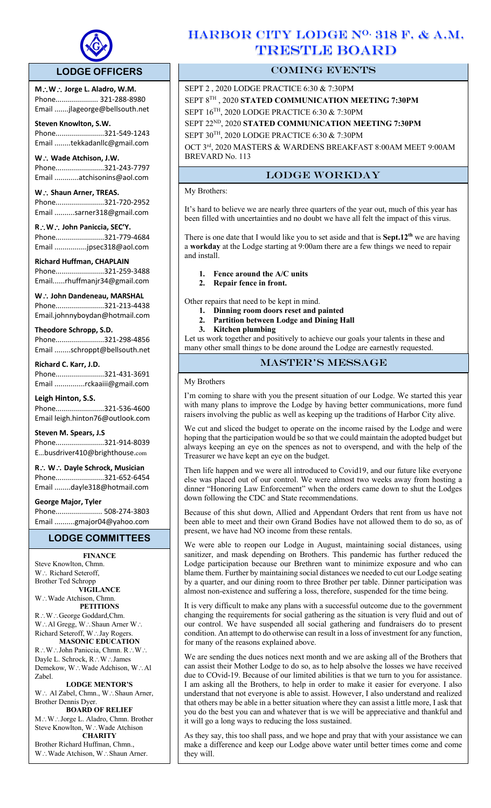

# **LODGE OFFICERS**

**M**\**W**\ **Jorge L. Aladro, W.M.** Phone..................... 321-288-8980 Email .......jlageorge@bellsouth.net

# **Steven Knowlton, S.W.**

 $\overline{a}$ 

Phone........................321-549-1243 Email ........tekkadanllc@gmail.com

**W** ∴ Wade Atchison, J.W. Phone........................321-243-7797 Email ............atchisonins@aol.com

# W. **Shaun Arner, TREAS.**

Phone........................321-720-2952 Email ..........sarner318@gmail.com

**R**\**W**\ **John Paniccia, SEC'Y.** Phone........................321-779-4684 Email ................jpsec318@aol.com

**Richard Huffman, CHAPLAIN** Phone........................321-259-3488 Email......rhuffmanjr34@gmail.com

**W**. ∴ John Dandeneau, MARSHAL Phone........................321-213-4438 Email.johnnyboydan@hotmail.com

# **Theodore Schropp, S.D.**

Phone........................321-298-4856 Email ........schroppt@bellsouth.net

#### **Richard C. Karr, J.D.** Phone........................321-431-3691

Email ...............rckaaiii@gmail.com

# **Leigh Hinton, S.S.**

Phone........................321-536-4600 Email leigh.hinton76@outlook.com

**Steven M. Spears, J.S** Phone........................321-914-8039 E…busdriver410@brighthouse.com

**R**\ **W**\ **Dayle Schrock, Musician**  Phone........................321-652-6454 Email ........dayle318@hotmail.com

# **George Major, Tyler**

Phone....................... 508-274-3803 Email ..........gmajor04@yahoo.com

# **LODGE COMMITTEES**

**FINANCE** Steve Knowlton, Chmn. W.: Richard Seteroff, Brother Ted Schropp **VIGILANCE** W.: Wade Atchison, Chmn. **PETITIONS** R∴W∴George Goddard,Chm. W.: Al Gregg, W.: Shaun Arner W.: Richard Seteroff, W. Jay Rogers. **MASONIC EDUCATION** R: W: John Paniccia, Chmn. R: W: Dayle L. Schrock, R.: W.: James

Demekow, W.: Wade Adchison, W.: Al Zabel. **LODGE MENTOR'S** W∴ Al Zabel, Chmn., W∴Shaun Arner,

# Brother Dennis Dyer. **BOARD OF RELIEF**

M.: W.: Jorge L. Aladro, Chmn. Brother Steve Knowlton, W∴Wade Atchison **CHARITY**

Brother Richard Huffman, Chmn., W.: Wade Atchison, W.: Shaun Arner.

# HARBOR CITY LODGE N<sup>O.</sup> 318 F. & A.M. TRESTLE BOARD

# COMING EVENTS

SEPT 2 , 2020 LODGE PRACTICE 6:30 & 7:30PM SEPT 8TH , 2020 **STATED COMMUNICATION MEETING 7:30PM** SEPT 16TH, 2020 LODGE PRACTICE 6:30 & 7:30PM SEPT 22ND, 2020 **STATED COMMUNICATION MEETING 7:30PM** SEPT 30TH, 2020 LODGE PRACTICE 6:30 & 7:30PM

OCT 3rd, 2020 MASTERS & WARDENS BREAKFAST 8:00AM MEET 9:00AM BREVARD No. 113

# LODGE WORKDAY

# My Brothers:

It's hard to believe we are nearly three quarters of the year out, much of this year has been filled with uncertainties and no doubt we have all felt the impact of this virus.

There is one date that I would like you to set aside and that is **Sept.12th** we are having a **workday** at the Lodge starting at 9:00am there are a few things we need to repair and install.

# **1. Fence around the A/C units**

**2. Repair fence in front.** 

Other repairs that need to be kept in mind.

- **1. Dinning room doors reset and painted**
- **2. Partition between Lodge and Dining Hall**
- **3. Kitchen plumbing**

Let us work together and positively to achieve our goals your talents in these and many other small things to be done around the Lodge are earnestly requested.

# master's message

My Brothers

I'm coming to share with you the present situation of our Lodge. We started this year with many plans to improve the Lodge by having better communications, more fund raisers involving the public as well as keeping up the traditions of Harbor City alive.

We cut and sliced the budget to operate on the income raised by the Lodge and were hoping that the participation would be so that we could maintain the adopted budget but always keeping an eye on the spences as not to overspend, and with the help of the Treasurer we have kept an eye on the budget.

Then life happen and we were all introduced to Covid19, and our future like everyone else was placed out of our control. We were almost two weeks away from hosting a dinner "Honoring Law Enforcement" when the orders came down to shut the Lodges down following the CDC and State recommendations.

Because of this shut down, Allied and Appendant Orders that rent from us have not been able to meet and their own Grand Bodies have not allowed them to do so, as of present, we have had NO income from these rentals.

We were able to reopen our Lodge in August, maintaining social distances, using sanitizer, and mask depending on Brothers. This pandemic has further reduced the Lodge participation because our Brethren want to minimize exposure and who can blame them. Further by maintaining social distances we needed to cut our Lodge seating by a quarter, and our dining room to three Brother per table. Dinner participation was almost non-existence and suffering a loss, therefore, suspended for the time being.

It is very difficult to make any plans with a successful outcome due to the government changing the requirements for social gathering as the situation is very fluid and out of our control. We have suspended all social gathering and fundraisers do to present condition. An attempt to do otherwise can result in a loss of investment for any function, for many of the reasons explained above.

We are sending the dues notices next month and we are asking all of the Brothers that can assist their Mother Lodge to do so, as to help absolve the losses we have received due to COvid-19. Because of our limited abilities is that we turn to you for assistance. I am asking all the Brothers, to help in order to make it easier for everyone. I also understand that not everyone is able to assist. However, I also understand and realized that others may be able in a better situation where they can assist a little more, I ask that you do the best you can and whatever that is we will be appreciative and thankful and it will go a long ways to reducing the loss sustained.

As they say, this too shall pass, and we hope and pray that with your assistance we can make a difference and keep our Lodge above water until better times come and come they will.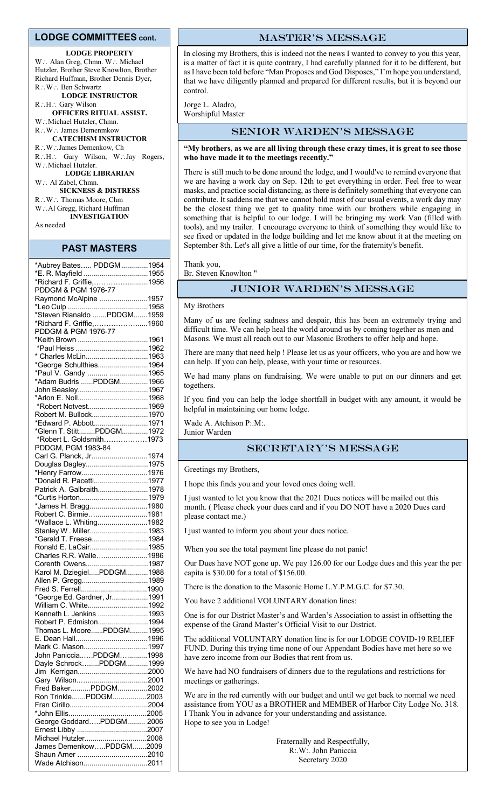#### **LODGE COMMITTEES cont.**

#### **LODGE PROPERTY**

W.: Alan Greg, Chmn. W.: Michael Hutzler, Brother Steve Knowlton, Brother Richard Huffman, Brother Dennis Dyer, R∴W∴ Ben Schwartz **LODGE INSTRUCTOR** R.: H.: Gary Wilson **OFFICERS RITUAL ASSIST.**

W.: Michael Hutzler, Chmn. R∴W∴ James Demenmkow **CATECHISM INSTRUCTOR** R∴W∴James Demenkow, Ch R.H.: Gary Wilson, W.Jay Rogers, W.: Michael Hutzler. **LODGE LIBRARIAN** W: Al Zabel, Chmn. **SICKNESS & DISTRESS** R∴W: Thomas Moore, Chm W∴Al Gregg, Richard Huffman **INVESTIGATION**

As needed

### **PAST MASTERS**

| *Aubrey Bates PDDGM 1954                       |  |
|------------------------------------------------|--|
| *E. R. Mayfield 1955                           |  |
| *Richard F. Griffie,1956                       |  |
| PDDGM & PGM 1976-77                            |  |
| Raymond McAlpine 1957                          |  |
|                                                |  |
| *Steven Rianaldo PDDGM1959                     |  |
| *Richard F. Griffie,1960                       |  |
| PDDGM & PGM 1976-77                            |  |
|                                                |  |
| *Keith Brown 1961                              |  |
|                                                |  |
| * Charles McLin1963                            |  |
| *George Schulthies1964                         |  |
| *Paul V. Gandy  1965<br>*Adam Budris PDDGM1966 |  |
|                                                |  |
| John Beasley1967                               |  |
|                                                |  |
| *Robert Notvest1969                            |  |
| Robert M. Bullock1970                          |  |
| *Edward P. Abbott1971                          |  |
| *Glenn T. StittPDDGM1972                       |  |
| *Robert L. Goldsmith1973                       |  |
| PDDGM, PGM 1983-84                             |  |
| Carl G. Planck, Jr1974                         |  |
|                                                |  |
| Douglas Dagley1975                             |  |
| *Henry Farrow1976                              |  |
| *Donald R. Pacetti1977                         |  |
| Patrick A. Galbraith1978                       |  |
|                                                |  |
| *James H. Bragg1980                            |  |
| Robert C. Birmie1981                           |  |
| *Wallace L. Whiting1982                        |  |
| Stanley W. Miller1983                          |  |
| *Gerald T. Freese1984                          |  |
| Ronald E. LaCair1985                           |  |
| Charles R.R. Walle1986                         |  |
| Corenth Owens1987                              |  |
| Karol M. DziegielPDDGM1988                     |  |
| Allen P. Gregg1989                             |  |
|                                                |  |
| *George Ed. Gardner, Jr1991                    |  |
| William C. White1992                           |  |
| Kenneth L. Jenkins 1993                        |  |
| Robert P. Edmiston1994                         |  |
| Thomas L. MoorePDDGM1995                       |  |
|                                                |  |
|                                                |  |
| Mark C. Mason1997                              |  |
| John PanicciaPDDGM1998                         |  |
| Dayle SchrockPDDGM1999                         |  |
|                                                |  |
|                                                |  |
| Fred BakerPDDGM2002                            |  |
| Ron TrinklePDDGM2003                           |  |
|                                                |  |
|                                                |  |
| George GoddardPDDGM 2006                       |  |
|                                                |  |
| Michael Hutzler2008                            |  |
| James DemenkowPDDGM2009                        |  |
|                                                |  |
| Wade Atchison2011                              |  |
|                                                |  |

#### master's message

In closing my Brothers, this is indeed not the news I wanted to convey to you this year, is a matter of fact it is quite contrary, I had carefully planned for it to be different, but as I have been told before "Man Proposes and God Disposes," I'm hope you understand, that we have diligently planned and prepared for different results, but it is beyond our control.

Jorge L. Aladro, Worshipful Master

#### Senior Warden's message

#### **"My brothers, as we are all living through these crazy times, it is great to see those who have made it to the meetings recently."**

There is still much to be done around the lodge, and I would've to remind everyone that we are having a work day on Sep. 12th to get everything in order. Feel free to wear masks, and practice social distancing, as there is definitely something that everyone can contribute. It saddens me that we cannot hold most of our usual events, a work day may be the closest thing we get to quality time with our brothers while engaging in something that is helpful to our lodge. I will be bringing my work Van (filled with tools), and my trailer. I encourage everyone to think of something they would like to see fixed or updated in the lodge building and let me know about it at the meeting on September 8th. Let's all give a little of our time, for the fraternity's benefit.

Thank you,

Br. Steven Knowlton "

## Junior Warden's message

#### My Brothers

Many of us are feeling sadness and despair, this has been an extremely trying and difficult time. We can help heal the world around us by coming together as men and Masons. We must all reach out to our Masonic Brothers to offer help and hope.

There are many that need help ! Please let us as your officers, who you are and how we can help. If you can help, please, with your time or resources.

We had many plans on fundraising. We were unable to put on our dinners and get togethers.

If you find you can help the lodge shortfall in budget with any amount, it would be helpful in maintaining our home lodge.

Wade A. Atchison P:.M:.

# Junior Warden

# Secretary's message

Greetings my Brothers,

I hope this finds you and your loved ones doing well.

I just wanted to let you know that the 2021 Dues notices will be mailed out this month. ( Please check your dues card and if you DO NOT have a 2020 Dues card please contact me.)

I just wanted to inform you about your dues notice.

When you see the total payment line please do not panic!

Our Dues have NOT gone up. We pay 126.00 for our Lodge dues and this year the per capita is \$30.00 for a total of \$156.00.

There is the donation to the Masonic Home L.Y.P.M.G.C. for \$7.30.

You have 2 additional VOLUNTARY donation lines:

One is for our District Master's and Warden's Association to assist in offsetting the expense of the Grand Master's Official Visit to our District.

The additional VOLUNTARY donation line is for our LODGE COVID-19 RELIEF FUND. During this trying time none of our Appendant Bodies have met here so we have zero income from our Bodies that rent from us.

We have had NO fundraisers of dinners due to the regulations and restrictions for meetings or gatherings.

We are in the red currently with our budget and until we get back to normal we need assistance from YOU as a BROTHER and MEMBER of Harbor City Lodge No. 318. I Thank You in advance for your understanding and assistance. Hope to see you in Lodge!

> Fraternally and Respectfully, R:.W:. John Paniccia Secretary 2020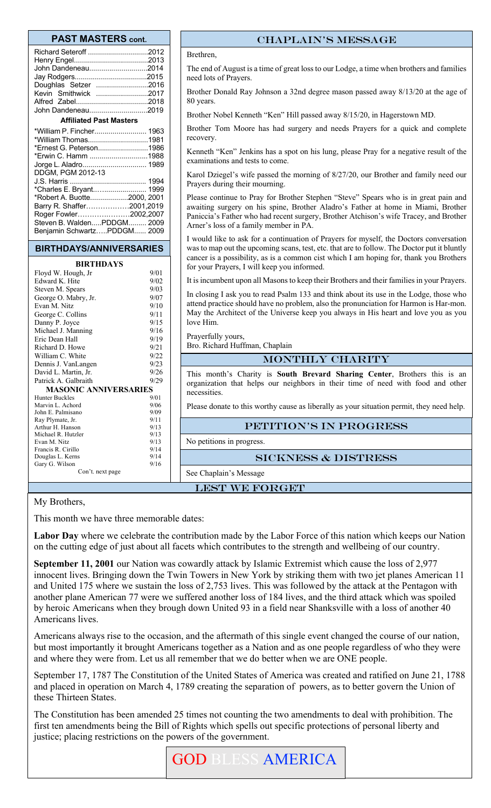## **PAST MASTERS cont.**

| Richard Seteroff 2012<br>John Dandeneau2014<br>Doughlas Setzer 2016<br>Kevin Smithwick 2017<br>John Dandeneau2019         |  |  |  |  |  |
|---------------------------------------------------------------------------------------------------------------------------|--|--|--|--|--|
|                                                                                                                           |  |  |  |  |  |
| <b>Affiliated Past Masters</b>                                                                                            |  |  |  |  |  |
| *William P. Fincher 1963<br>*William Thomas1981<br>*Ernest G. Peterson1986<br>*Erwin C. Hamm 1988<br>Jorge L. Aladro 1989 |  |  |  |  |  |
|                                                                                                                           |  |  |  |  |  |
|                                                                                                                           |  |  |  |  |  |
| *Charles E. Bryant 1999                                                                                                   |  |  |  |  |  |
| *Robert A. Buotte2000, 2001<br>Barry R. Shaffer2001,2019                                                                  |  |  |  |  |  |
|                                                                                                                           |  |  |  |  |  |
|                                                                                                                           |  |  |  |  |  |

### **BIRTHDAYS/ANNIVERSARIES**

Roger Fowler………….………2002,2007 Steven B. Walden.....PDDGM......... 2009 Benjamin Schwartz…..PDDGM...... 2009

#### **BIRTHDAYS**

| Floyd W. Hough, Jr           | 9/01 |  |  |  |  |
|------------------------------|------|--|--|--|--|
| Edward K. Hite               | 9/02 |  |  |  |  |
| Steven M. Spears             | 9/03 |  |  |  |  |
| George O. Mabry, Jr.         | 9/07 |  |  |  |  |
| Evan M. Nitz                 | 9/10 |  |  |  |  |
| George C. Collins            | 9/11 |  |  |  |  |
| Danny P. Joyce               | 9/15 |  |  |  |  |
| Michael J. Manning           | 9/16 |  |  |  |  |
| Eric Dean Hall               | 9/19 |  |  |  |  |
| Richard D. Howe              | 9/21 |  |  |  |  |
| William C. White             | 9/22 |  |  |  |  |
| Dennis J. VanLangen          | 9/23 |  |  |  |  |
| David L. Martin, Jr.         | 9/26 |  |  |  |  |
| Patrick A. Galbraith         | 9/29 |  |  |  |  |
| <b>MASONIC ANNIVERSARIES</b> |      |  |  |  |  |
| <b>Hunter Buckles</b>        | 9/01 |  |  |  |  |
| Marvin L. Achord             | 9/06 |  |  |  |  |
| John E. Palmisano            | 9/09 |  |  |  |  |
| Ray Plymate, Jr.             | 9/11 |  |  |  |  |
| Arthur H. Hanson             | 9/13 |  |  |  |  |
| Michael R. Hutzler           | 9/13 |  |  |  |  |
| Evan M. Nitz                 | 9/13 |  |  |  |  |
| Francis R. Cirillo           | 9/14 |  |  |  |  |
| Douglas L. Kerns             | 9/14 |  |  |  |  |
| Gary G. Wilson               |      |  |  |  |  |
| Con't. next page             |      |  |  |  |  |

## CHAPLAIN's message

Brethren,

The end of August is a time of great loss to our Lodge, a time when brothers and families need lots of Prayers.

Brother Donald Ray Johnson a 32nd degree mason passed away 8/13/20 at the age of 80 years.

Brother Nobel Kenneth "Ken" Hill passed away 8/15/20, in Hagerstown MD.

Brother Tom Moore has had surgery and needs Prayers for a quick and complete recovery.

Kenneth "Ken" Jenkins has a spot on his lung, please Pray for a negative result of the examinations and tests to come.

Karol Dziegel's wife passed the morning of 8/27/20, our Brother and family need our Prayers during their mourning.

Please continue to Pray for Brother Stephen "Steve" Spears who is in great pain and awaiting surgery on his spine, Brother Aladro's Father at home in Miami, Brother Paniccia's Father who had recent surgery, Brother Atchison's wife Tracey, and Brother Arner's loss of a family member in PA.

I would like to ask for a continuation of Prayers for myself, the Doctors conversation was to map out the upcoming scans, test, etc. that are to follow. The Doctor put it bluntly cancer is a possibility, as is a common cist which I am hoping for, thank you Brothers for your Prayers, I will keep you informed.

It is incumbent upon all Masons to keep their Brothers and their families in your Prayers.

In closing I ask you to read Psalm 133 and think about its use in the Lodge, those who attend practice should have no problem, also the pronunciation for Harmon is Har-mon. May the Architect of the Universe keep you always in His heart and love you as you love Him.

Prayerfully yours,

Bro. Richard Huffman, Chaplain

## MONTHLY CHARITY

This month's Charity is **South Brevard Sharing Center**, Brothers this is an organization that helps our neighbors in their time of need with food and other necessities.

Please donate to this worthy cause as liberally as your situation permit, they need help.

# PETITION'S IN PROGRESS

No petitions in progress.

See Chaplain's Message

#### Sickness & distress

#### LEST WE FORGET

My Brothers,

This month we have three memorable dates:

**Labor Day** where we celebrate the contribution made by the Labor Force of this nation which keeps our Nation on the cutting edge of just about all facets which contributes to the strength and wellbeing of our country.

**September 11, 2001** our Nation was cowardly attack by Islamic Extremist which cause the loss of 2,977 innocent lives. Bringing down the Twin Towers in New York by striking them with two jet planes American 11 and United 175 where we sustain the loss of 2,753 lives. This was followed by the attack at the Pentagon with another plane American 77 were we suffered another loss of 184 lives, and the third attack which was spoiled by heroic Americans when they brough down United 93 in a field near Shanksville with a loss of another 40 Americans lives.

Americans always rise to the occasion, and the aftermath of this single event changed the course of our nation, but most importantly it brought Americans together as a Nation and as one people regardless of who they were and where they were from. Let us all remember that we do better when we are ONE people.

September 17, 1787 The Constitution of the United States of America was created and ratified on June 21, 1788 and placed in operation on March 4, 1789 creating the separation of powers, as to better govern the Union of these Thirteen States.

The Constitution has been amended 25 times not counting the two amendments to deal with prohibition. The first ten amendments being the Bill of Rights which spells out specific protections of personal liberty and justice; placing restrictions on the powers of the government.